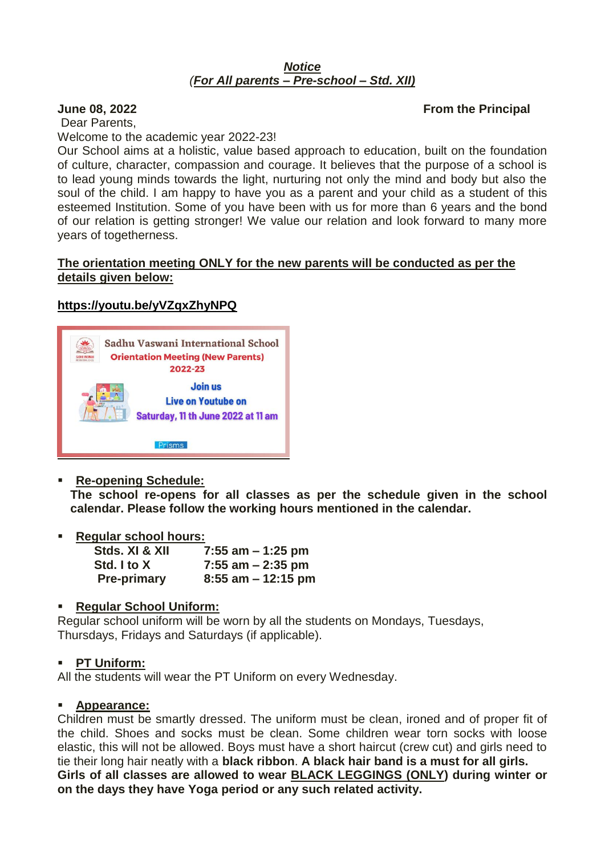#### *Notice (For All parents – Pre-school – Std. XII)*

### **June 08, 2022 From the Principal**

Dear Parents, Welcome to the academic year 2022-23!

Our School aims at a holistic, value based approach to education, built on the foundation of culture, character, compassion and courage. It believes that the purpose of a school is to lead young minds towards the light, nurturing not only the mind and body but also the soul of the child. I am happy to have you as a parent and your child as a student of this esteemed Institution. Some of you have been with us for more than 6 years and the bond of our relation is getting stronger! We value our relation and look forward to many more years of togetherness.

#### **The orientation meeting ONLY for the new parents will be conducted as per the details given below:**

## **https://youtu.be/yVZqxZhyNPQ**



**Re-opening Schedule:**

**The school re-opens for all classes as per the schedule given in the school calendar. Please follow the working hours mentioned in the calendar.** 

**Regular school hours:** 

| Stds. XI & XII     | 7:55 am $-1:25$ pm    |
|--------------------|-----------------------|
| Std. I to X        | $7:55$ am $-2:35$ pm  |
| <b>Pre-primary</b> | $8:55$ am $-12:15$ pm |

### **Regular School Uniform:**

Regular school uniform will be worn by all the students on Mondays, Tuesdays, Thursdays, Fridays and Saturdays (if applicable).

### **PT Uniform:**

All the students will wear the PT Uniform on every Wednesday.

#### **Appearance:**

Children must be smartly dressed. The uniform must be clean, ironed and of proper fit of the child. Shoes and socks must be clean. Some children wear torn socks with loose elastic, this will not be allowed. Boys must have a short haircut (crew cut) and girls need to tie their long hair neatly with a **black ribbon**. **A black hair band is a must for all girls. Girls of all classes are allowed to wear BLACK LEGGINGS (ONLY) during winter or on the days they have Yoga period or any such related activity.**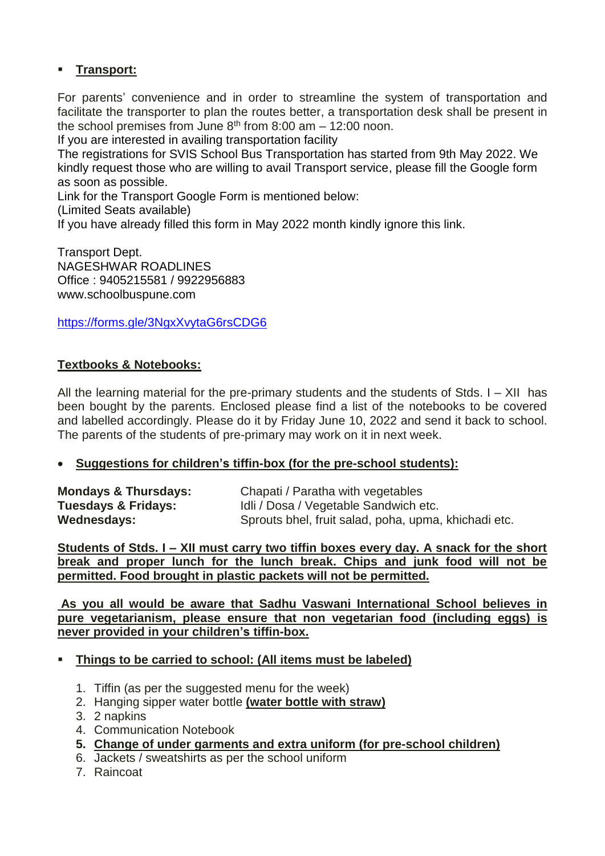# **Transport:**

For parents' convenience and in order to streamline the system of transportation and facilitate the transporter to plan the routes better, a transportation desk shall be present in the school premises from June  $8<sup>th</sup>$  from 8:00 am  $-$  12:00 noon.

If you are interested in availing transportation facility

The registrations for SVIS School Bus Transportation has started from 9th May 2022. We kindly request those who are willing to avail Transport service, please fill the Google form as soon as possible.

Link for the Transport Google Form is mentioned below:

(Limited Seats available)

If you have already filled this form in May 2022 month kindly ignore this link.

Transport Dept. NAGESHWAR ROADLINES Office : 9405215581 / 9922956883 www.schoolbuspune.com

https://forms.gle/3NgxXvytaG6rsCDG6

## **Textbooks & Notebooks:**

All the learning material for the pre-primary students and the students of Stds. I – XII has been bought by the parents. Enclosed please find a list of the notebooks to be covered and labelled accordingly. Please do it by Friday June 10, 2022 and send it back to school. The parents of the students of pre-primary may work on it in next week.

### **Suggestions for children's tiffin-box (for the pre-school students):**

| <b>Mondays &amp; Thursdays:</b> | Chapati / Paratha with vegetables                    |
|---------------------------------|------------------------------------------------------|
| Tuesdays & Fridays:             | Idli / Dosa / Vegetable Sandwich etc.                |
| Wednesdays:                     | Sprouts bhel, fruit salad, poha, upma, khichadi etc. |

**Students of Stds. I – XII must carry two tiffin boxes every day. A snack for the short break and proper lunch for the lunch break. Chips and junk food will not be permitted. Food brought in plastic packets will not be permitted.**

**As you all would be aware that Sadhu Vaswani International School believes in pure vegetarianism, please ensure that non vegetarian food (including eggs) is never provided in your children's tiffin-box.**

### **Things to be carried to school: (All items must be labeled)**

- 1. Tiffin (as per the suggested menu for the week)
- 2. Hanging sipper water bottle **(water bottle with straw)**
- 3. 2 napkins
- 4. Communication Notebook
- **5. Change of under garments and extra uniform (for pre-school children)**
- 6. Jackets / sweatshirts as per the school uniform
- 7. Raincoat